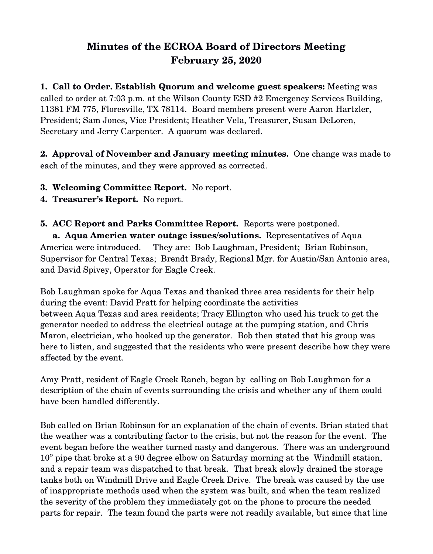## **Minutes of the ECROA Board of Directors Meeting February 25, 2020**

**1. Call to Order. Establish Quorum and welcome guest speakers:** Meeting was called to order at 7:03 p.m. at the Wilson County ESD #2 Emergency Services Building, 11381 FM 775, Floresville, TX 78114. Board members present were Aaron Hartzler, President; Sam Jones, Vice President; Heather Vela, Treasurer, Susan DeLoren, Secretary and Jerry Carpenter. A quorum was declared.

**2. Approval of November and January meeting minutes.** One change was made to each of the minutes, and they were approved as corrected.

- **3. Welcoming Committee Report.** No report.
- **4. Treasurer's Report.** No report.
- **5. ACC Report and Parks Committee Report.** Reports were postponed.

 **a. Aqua America water outage issues/solutions.** Representatives of Aqua America were introduced. They are: Bob Laughman, President; Brian Robinson, Supervisor for Central Texas; Brendt Brady, Regional Mgr. for Austin/San Antonio area, and David Spivey, Operator for Eagle Creek.

Bob Laughman spoke for Aqua Texas and thanked three area residents for their help during the event: David Pratt for helping coordinate the activities between Aqua Texas and area residents; Tracy Ellington who used his truck to get the generator needed to address the electrical outage at the pumping station, and Chris Maron, electrician, who hooked up the generator. Bob then stated that his group was here to listen, and suggested that the residents who were present describe how they were affected by the event.

Amy Pratt, resident of Eagle Creek Ranch, began by calling on Bob Laughman for a description of the chain of events surrounding the crisis and whether any of them could have been handled differently.

Bob called on Brian Robinson for an explanation of the chain of events. Brian stated that the weather was a contributing factor to the crisis, but not the reason for the event. The event began before the weather turned nasty and dangerous. There was an underground 10" pipe that broke at a 90 degree elbow on Saturday morning at the Windmill station, and a repair team was dispatched to that break. That break slowly drained the storage tanks both on Windmill Drive and Eagle Creek Drive. The break was caused by the use of inappropriate methods used when the system was built, and when the team realized the severity of the problem they immediately got on the phone to procure the needed parts for repair. The team found the parts were not readily available, but since that line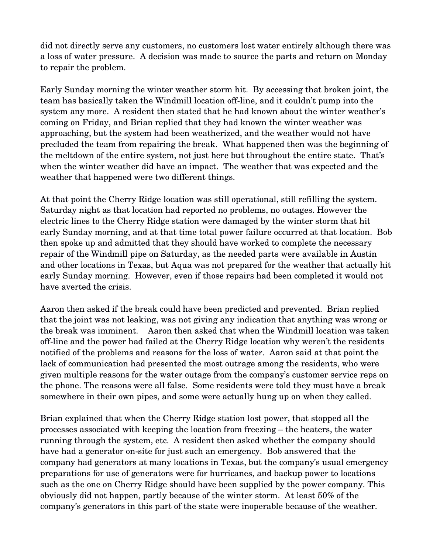did not directly serve any customers, no customers lost water entirely although there was a loss of water pressure. A decision was made to source the parts and return on Monday to repair the problem.

Early Sunday morning the winter weather storm hit. By accessing that broken joint, the team has basically taken the Windmill location off-line, and it couldn't pump into the system any more. A resident then stated that he had known about the winter weather's coming on Friday, and Brian replied that they had known the winter weather was approaching, but the system had been weatherized, and the weather would not have precluded the team from repairing the break. What happened then was the beginning of the meltdown of the entire system, not just here but throughout the entire state. That's when the winter weather did have an impact. The weather that was expected and the weather that happened were two different things.

At that point the Cherry Ridge location was still operational, still refilling the system. Saturday night as that location had reported no problems, no outages. However the electric lines to the Cherry Ridge station were damaged by the winter storm that hit early Sunday morning, and at that time total power failure occurred at that location. Bob then spoke up and admitted that they should have worked to complete the necessary repair of the Windmill pipe on Saturday, as the needed parts were available in Austin and other locations in Texas, but Aqua was not prepared for the weather that actually hit early Sunday morning. However, even if those repairs had been completed it would not have averted the crisis.

Aaron then asked if the break could have been predicted and prevented. Brian replied that the joint was not leaking, was not giving any indication that anything was wrong or the break was imminent. Aaron then asked that when the Windmill location was taken off-line and the power had failed at the Cherry Ridge location why weren't the residents notified of the problems and reasons for the loss of water. Aaron said at that point the lack of communication had presented the most outrage among the residents, who were given multiple reasons for the water outage from the company's customer service reps on the phone. The reasons were all false. Some residents were told they must have a break somewhere in their own pipes, and some were actually hung up on when they called.

Brian explained that when the Cherry Ridge station lost power, that stopped all the processes associated with keeping the location from freezing – the heaters, the water running through the system, etc. A resident then asked whether the company should have had a generator on-site for just such an emergency. Bob answered that the company had generators at many locations in Texas, but the company's usual emergency preparations for use of generators were for hurricanes, and backup power to locations such as the one on Cherry Ridge should have been supplied by the power company. This obviously did not happen, partly because of the winter storm. At least 50% of the company's generators in this part of the state were inoperable because of the weather.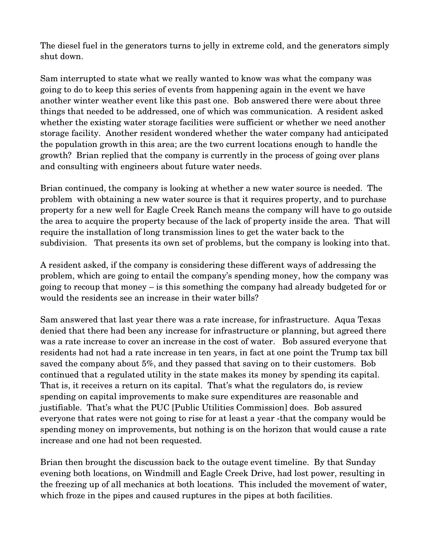The diesel fuel in the generators turns to jelly in extreme cold, and the generators simply shut down.

Sam interrupted to state what we really wanted to know was what the company was going to do to keep this series of events from happening again in the event we have another winter weather event like this past one. Bob answered there were about three things that needed to be addressed, one of which was communication. A resident asked whether the existing water storage facilities were sufficient or whether we need another storage facility. Another resident wondered whether the water company had anticipated the population growth in this area; are the two current locations enough to handle the growth? Brian replied that the company is currently in the process of going over plans and consulting with engineers about future water needs.

Brian continued, the company is looking at whether a new water source is needed. The problem with obtaining a new water source is that it requires property, and to purchase property for a new well for Eagle Creek Ranch means the company will have to go outside the area to acquire the property because of the lack of property inside the area. That will require the installation of long transmission lines to get the water back to the subdivision. That presents its own set of problems, but the company is looking into that.

A resident asked, if the company is considering these different ways of addressing the problem, which are going to entail the company's spending money, how the company was going to recoup that money – is this something the company had already budgeted for or would the residents see an increase in their water bills?

Sam answered that last year there was a rate increase, for infrastructure. Aqua Texas denied that there had been any increase for infrastructure or planning, but agreed there was a rate increase to cover an increase in the cost of water. Bob assured everyone that residents had not had a rate increase in ten years, in fact at one point the Trump tax bill saved the company about 5%, and they passed that saving on to their customers. Bob continued that a regulated utility in the state makes its money by spending its capital. That is, it receives a return on its capital. That's what the regulators do, is review spending on capital improvements to make sure expenditures are reasonable and justifiable. That's what the PUC [Public Utilities Commission] does. Bob assured everyone that rates were not going to rise for at least a year -that the company would be spending money on improvements, but nothing is on the horizon that would cause a rate increase and one had not been requested.

Brian then brought the discussion back to the outage event timeline. By that Sunday evening both locations, on Windmill and Eagle Creek Drive, had lost power, resulting in the freezing up of all mechanics at both locations. This included the movement of water, which froze in the pipes and caused ruptures in the pipes at both facilities.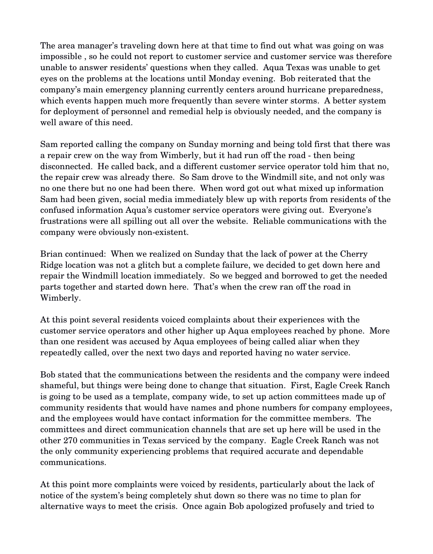The area manager's traveling down here at that time to find out what was going on was impossible , so he could not report to customer service and customer service was therefore unable to answer residents' questions when they called. Aqua Texas was unable to get eyes on the problems at the locations until Monday evening. Bob reiterated that the company's main emergency planning currently centers around hurricane preparedness, which events happen much more frequently than severe winter storms. A better system for deployment of personnel and remedial help is obviously needed, and the company is well aware of this need.

Sam reported calling the company on Sunday morning and being told first that there was a repair crew on the way from Wimberly, but it had run off the road - then being disconnected. He called back, and a different customer service operator told him that no, the repair crew was already there. So Sam drove to the Windmill site, and not only was no one there but no one had been there. When word got out what mixed up information Sam had been given, social media immediately blew up with reports from residents of the confused information Aqua's customer service operators were giving out. Everyone's frustrations were all spilling out all over the website. Reliable communications with the company were obviously non-existent.

Brian continued: When we realized on Sunday that the lack of power at the Cherry Ridge location was not a glitch but a complete failure, we decided to get down here and repair the Windmill location immediately. So we begged and borrowed to get the needed parts together and started down here. That's when the crew ran off the road in Wimberly.

At this point several residents voiced complaints about their experiences with the customer service operators and other higher up Aqua employees reached by phone. More than one resident was accused by Aqua employees of being called aliar when they repeatedly called, over the next two days and reported having no water service.

Bob stated that the communications between the residents and the company were indeed shameful, but things were being done to change that situation. First, Eagle Creek Ranch is going to be used as a template, company wide, to set up action committees made up of community residents that would have names and phone numbers for company employees, and the employees would have contact information for the committee members. The committees and direct communication channels that are set up here will be used in the other 270 communities in Texas serviced by the company. Eagle Creek Ranch was not the only community experiencing problems that required accurate and dependable communications.

At this point more complaints were voiced by residents, particularly about the lack of notice of the system's being completely shut down so there was no time to plan for alternative ways to meet the crisis. Once again Bob apologized profusely and tried to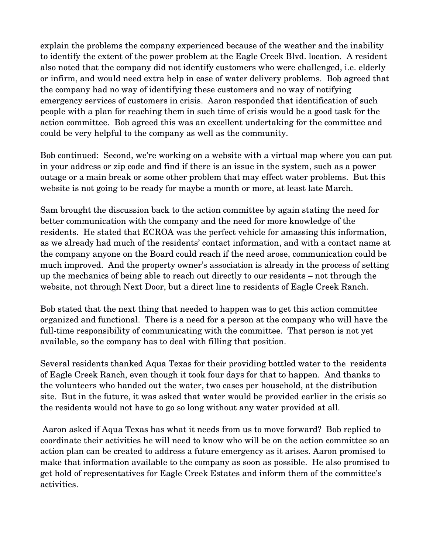explain the problems the company experienced because of the weather and the inability to identify the extent of the power problem at the Eagle Creek Blvd. location. A resident also noted that the company did not identify customers who were challenged, i.e. elderly or infirm, and would need extra help in case of water delivery problems. Bob agreed that the company had no way of identifying these customers and no way of notifying emergency services of customers in crisis. Aaron responded that identification of such people with a plan for reaching them in such time of crisis would be a good task for the action committee. Bob agreed this was an excellent undertaking for the committee and could be very helpful to the company as well as the community.

Bob continued: Second, we're working on a website with a virtual map where you can put in your address or zip code and find if there is an issue in the system, such as a power outage or a main break or some other problem that may effect water problems. But this website is not going to be ready for maybe a month or more, at least late March.

Sam brought the discussion back to the action committee by again stating the need for better communication with the company and the need for more knowledge of the residents. He stated that ECROA was the perfect vehicle for amassing this information, as we already had much of the residents' contact information, and with a contact name at the company anyone on the Board could reach if the need arose, communication could be much improved. And the property owner's association is already in the process of setting up the mechanics of being able to reach out directly to our residents – not through the website, not through Next Door, but a direct line to residents of Eagle Creek Ranch.

Bob stated that the next thing that needed to happen was to get this action committee organized and functional. There is a need for a person at the company who will have the full-time responsibility of communicating with the committee. That person is not yet available, so the company has to deal with filling that position.

Several residents thanked Aqua Texas for their providing bottled water to the residents of Eagle Creek Ranch, even though it took four days for that to happen. And thanks to the volunteers who handed out the water, two cases per household, at the distribution site. But in the future, it was asked that water would be provided earlier in the crisis so the residents would not have to go so long without any water provided at all.

 Aaron asked if Aqua Texas has what it needs from us to move forward? Bob replied to coordinate their activities he will need to know who will be on the action committee so an action plan can be created to address a future emergency as it arises. Aaron promised to make that information available to the company as soon as possible. He also promised to get hold of representatives for Eagle Creek Estates and inform them of the committee's activities.